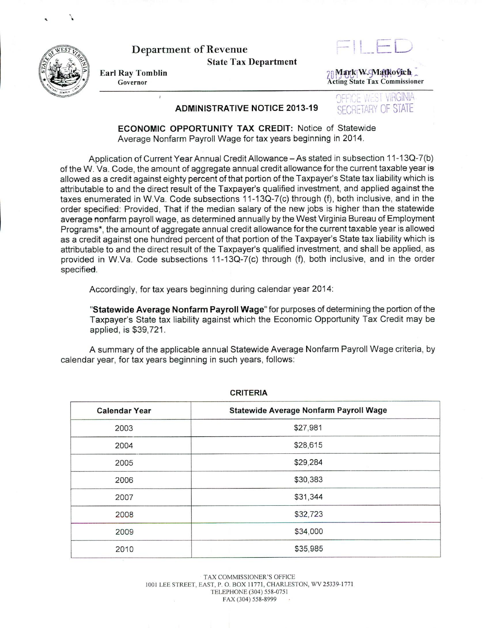

... \

Department of Revenue State Tax Department

Earl Ray Tomblin J'100<fW.gvt~-1'{o<9r <sup>h</sup><sup>~</sup>Acting State Tax Commissioner

## ADMINISTRATIVE NOTICE 2013-19 SECRETARY OF STATE

WEST VIRGINIA

ECONOMIC OPPORTUNITY TAX CREDIT: Notice of Statewide Average Nonfarm Payroll Wage for tax years beginning in 2014.

Application of Current Year Annual Credit Allowance - As stated in subsection 11-13Q-7(b) of the W. Va. Code, the amount of aggregate annual credit allowance for the current taxable year is allowed as a credit against eighty percent of that portion of the Taxpayer's State tax liability which is attributable to and the direct result of the Taxpayer's qualified investment, and applied against the taxes enumerated in W.Va. Code subsections 11-13Q-7(c) through (f), both inclusive, and in the order specified: Provided, That if the median salary of the new jobs is higher than the statewide average nonfarm payroll wage, as determined annually by the West Virginia Bureau of Employment Programs\*, the amount of aggregate annual credit allowance for the current taxable year is allowed as a credit against one hundred percent of that portion of the Taxpayer's State tax liability which is attributable to and the direct result of the Taxpayer's qualified investment, and shall be applied, as provided in W .Va. Code subsections 11-13Q-7(c) through (f), both inclusive, and in the order specified.

Accordingly, for tax years beginning during calendar year 2014:

"Statewide Average Nonfarm Payroll Wage" for purposes of determining the portion of the Taxpayer's State tax liability against which the Economic Opportunity Tax Credit may be applied, is \$39,721.

A summary of the applicable annual Statewide Average Nonfarm Payroll Wage criteria, by calendar year, for tax years beginning in such years, follows:

| <b>Calendar Year</b> | Statewide Average Nonfarm Payroll Wage |
|----------------------|----------------------------------------|
| 2003                 | \$27,981                               |
| 2004                 | \$28,615                               |
| 2005                 | \$29,284                               |
| 2006                 | \$30,383                               |
| 2007                 | \$31,344                               |
| 2008                 | \$32,723                               |
| 2009                 | \$34,000                               |
| 2010                 | \$35,985                               |

CRITERIA

TAX COMMISSIONER'S OFFICE 1001 LEE STREET, EAST, P. O. BOX 11771, CHARLESTON, WV 25339-1771 TELEPHONE (304) 558-0751 FAX (304) 558-8999